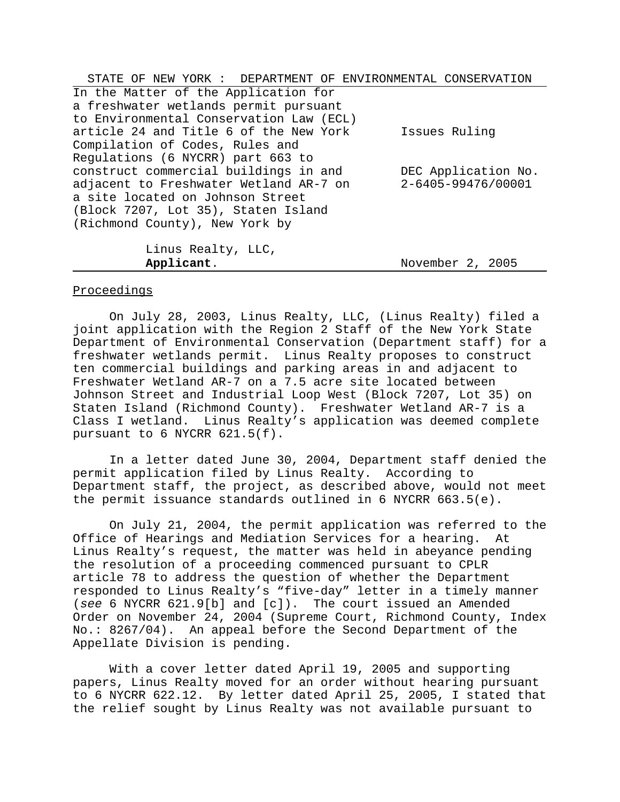| STATE OF NEW YORK: DEPARTMENT OF ENVIRONMENTAL CONSERVATION |                     |
|-------------------------------------------------------------|---------------------|
| In the Matter of the Application for                        |                     |
| a freshwater wetlands permit pursuant                       |                     |
| to Environmental Conservation Law (ECL)                     |                     |
| article 24 and Title 6 of the New York                      | Issues Ruling       |
| Compilation of Codes, Rules and                             |                     |
| Regulations (6 NYCRR) part 663 to                           |                     |
| construct commercial buildings in and                       | DEC Application No. |
| adjacent to Freshwater Wetland AR-7 on                      | 2-6405-99476/00001  |
| a site located on Johnson Street                            |                     |
| (Block 7207, Lot 35), Staten Island                         |                     |
| (Richmond County), New York by                              |                     |
|                                                             |                     |
| Linus Realty, LLC,                                          |                     |

# **Applicant**. November 2, 2005

# Proceedings

On July 28, 2003, Linus Realty, LLC, (Linus Realty) filed a joint application with the Region 2 Staff of the New York State Department of Environmental Conservation (Department staff) for a freshwater wetlands permit. Linus Realty proposes to construct ten commercial buildings and parking areas in and adjacent to Freshwater Wetland AR-7 on a 7.5 acre site located between Johnson Street and Industrial Loop West (Block 7207, Lot 35) on Staten Island (Richmond County). Freshwater Wetland AR-7 is a Class I wetland. Linus Realty's application was deemed complete pursuant to 6 NYCRR 621.5(f).

In a letter dated June 30, 2004, Department staff denied the permit application filed by Linus Realty. According to Department staff, the project, as described above, would not meet the permit issuance standards outlined in 6 NYCRR 663.5(e).

On July 21, 2004, the permit application was referred to the Office of Hearings and Mediation Services for a hearing. At Linus Realty's request, the matter was held in abeyance pending the resolution of a proceeding commenced pursuant to CPLR article 78 to address the question of whether the Department responded to Linus Realty's "five-day" letter in a timely manner (*see* 6 NYCRR 621.9[b] and [c]). The court issued an Amended Order on November 24, 2004 (Supreme Court, Richmond County, Index No.: 8267/04). An appeal before the Second Department of the Appellate Division is pending.

With a cover letter dated April 19, 2005 and supporting papers, Linus Realty moved for an order without hearing pursuant to 6 NYCRR 622.12. By letter dated April 25, 2005, I stated that the relief sought by Linus Realty was not available pursuant to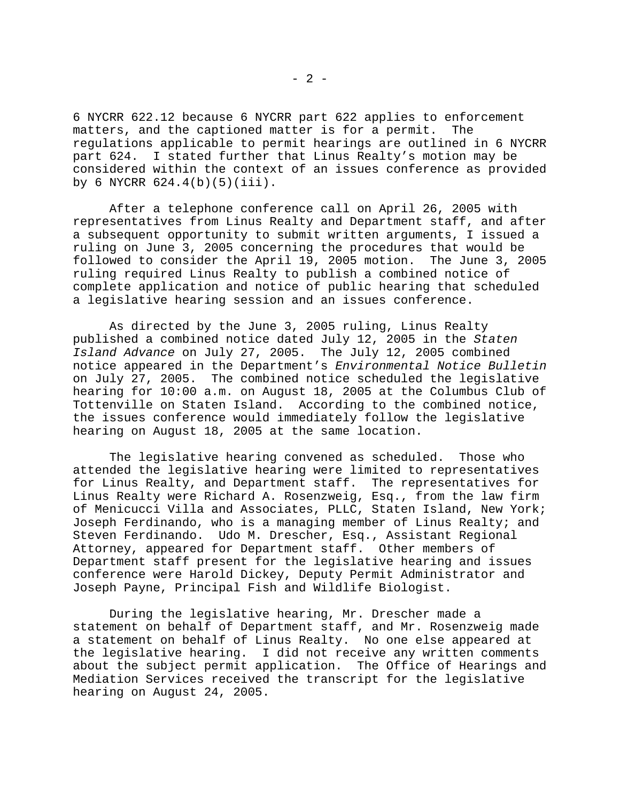6 NYCRR 622.12 because 6 NYCRR part 622 applies to enforcement matters, and the captioned matter is for a permit. The regulations applicable to permit hearings are outlined in 6 NYCRR part 624. I stated further that Linus Realty's motion may be considered within the context of an issues conference as provided by 6 NYCRR 624.4(b)(5)(iii).

After a telephone conference call on April 26, 2005 with representatives from Linus Realty and Department staff, and after a subsequent opportunity to submit written arguments, I issued a ruling on June 3, 2005 concerning the procedures that would be followed to consider the April 19, 2005 motion. The June 3, 2005 ruling required Linus Realty to publish a combined notice of complete application and notice of public hearing that scheduled a legislative hearing session and an issues conference.

As directed by the June 3, 2005 ruling, Linus Realty published a combined notice dated July 12, 2005 in the *Staten Island Advance* on July 27, 2005. The July 12, 2005 combined notice appeared in the Department's *Environmental Notice Bulletin* on July 27, 2005. The combined notice scheduled the legislative hearing for 10:00 a.m. on August 18, 2005 at the Columbus Club of Tottenville on Staten Island. According to the combined notice, the issues conference would immediately follow the legislative hearing on August 18, 2005 at the same location.

The legislative hearing convened as scheduled. Those who attended the legislative hearing were limited to representatives for Linus Realty, and Department staff. The representatives for Linus Realty were Richard A. Rosenzweig, Esq., from the law firm of Menicucci Villa and Associates, PLLC, Staten Island, New York; Joseph Ferdinando, who is a managing member of Linus Realty; and Steven Ferdinando. Udo M. Drescher, Esq., Assistant Regional Attorney, appeared for Department staff. Other members of Department staff present for the legislative hearing and issues conference were Harold Dickey, Deputy Permit Administrator and Joseph Payne, Principal Fish and Wildlife Biologist.

During the legislative hearing, Mr. Drescher made a statement on behalf of Department staff, and Mr. Rosenzweig made a statement on behalf of Linus Realty. No one else appeared at the legislative hearing. I did not receive any written comments about the subject permit application. The Office of Hearings and Mediation Services received the transcript for the legislative hearing on August 24, 2005.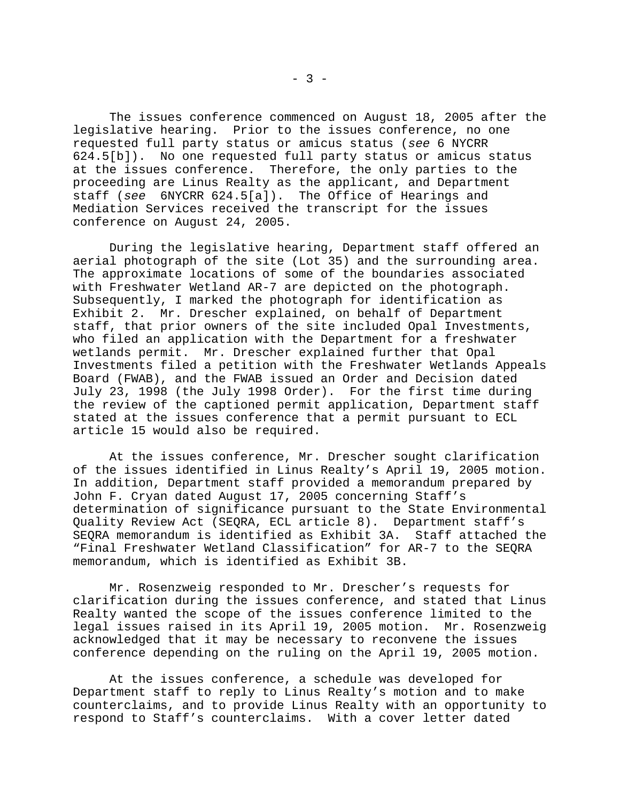The issues conference commenced on August 18, 2005 after the legislative hearing. Prior to the issues conference, no one requested full party status or amicus status (*see* 6 NYCRR 624.5[b]). No one requested full party status or amicus status at the issues conference. Therefore, the only parties to the proceeding are Linus Realty as the applicant, and Department staff (*see* 6NYCRR 624.5[a]). The Office of Hearings and Mediation Services received the transcript for the issues conference on August 24, 2005.

During the legislative hearing, Department staff offered an aerial photograph of the site (Lot 35) and the surrounding area. The approximate locations of some of the boundaries associated with Freshwater Wetland AR-7 are depicted on the photograph. Subsequently, I marked the photograph for identification as Exhibit 2. Mr. Drescher explained, on behalf of Department staff, that prior owners of the site included Opal Investments, who filed an application with the Department for a freshwater wetlands permit. Mr. Drescher explained further that Opal Investments filed a petition with the Freshwater Wetlands Appeals Board (FWAB), and the FWAB issued an Order and Decision dated July 23, 1998 (the July 1998 Order). For the first time during the review of the captioned permit application, Department staff stated at the issues conference that a permit pursuant to ECL article 15 would also be required.

At the issues conference, Mr. Drescher sought clarification of the issues identified in Linus Realty's April 19, 2005 motion. In addition, Department staff provided a memorandum prepared by John F. Cryan dated August 17, 2005 concerning Staff's determination of significance pursuant to the State Environmental Quality Review Act (SEQRA, ECL article 8). Department staff's SEQRA memorandum is identified as Exhibit 3A. Staff attached the "Final Freshwater Wetland Classification" for AR-7 to the SEQRA memorandum, which is identified as Exhibit 3B.

Mr. Rosenzweig responded to Mr. Drescher's requests for clarification during the issues conference, and stated that Linus Realty wanted the scope of the issues conference limited to the legal issues raised in its April 19, 2005 motion. Mr. Rosenzweig acknowledged that it may be necessary to reconvene the issues conference depending on the ruling on the April 19, 2005 motion.

At the issues conference, a schedule was developed for Department staff to reply to Linus Realty's motion and to make counterclaims, and to provide Linus Realty with an opportunity to respond to Staff's counterclaims. With a cover letter dated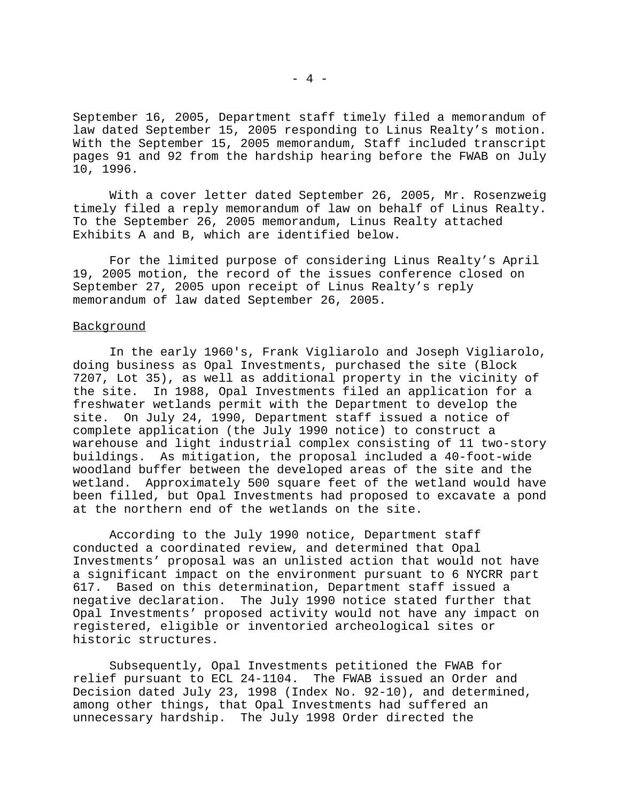September 16, 2005, Department staff timely filed a memorandum of law dated September 15, 2005 responding to Linus Realty's motion. With the September 15, 2005 memorandum, Staff included transcript pages 91 and 92 from the hardship hearing before the FWAB on July 10, 1996.

With a cover letter dated September 26, 2005, Mr. Rosenzweig timely filed a reply memorandum of law on behalf of Linus Realty. To the September 26, 2005 memorandum, Linus Realty attached Exhibits A and B, which are identified below.

For the limited purpose of considering Linus Realty's April 19, 2005 motion, the record of the issues conference closed on September 27, 2005 upon receipt of Linus Realty's reply memorandum of law dated September 26, 2005.

#### Background

In the early 1960's, Frank Vigliarolo and Joseph Vigliarolo, doing business as Opal Investments, purchased the site (Block 7207, Lot 35), as well as additional property in the vicinity of the site. In 1988, Opal Investments filed an application for a freshwater wetlands permit with the Department to develop the site. On July 24, 1990, Department staff issued a notice of complete application (the July 1990 notice) to construct a warehouse and light industrial complex consisting of 11 two-story buildings. As mitigation, the proposal included a 40-foot-wide woodland buffer between the developed areas of the site and the wetland. Approximately 500 square feet of the wetland would have been filled, but Opal Investments had proposed to excavate a pond at the northern end of the wetlands on the site.

According to the July 1990 notice, Department staff conducted a coordinated review, and determined that Opal Investments' proposal was an unlisted action that would not have a significant impact on the environment pursuant to 6 NYCRR part 617. Based on this determination, Department staff issued a negative declaration. The July 1990 notice stated further that Opal Investments' proposed activity would not have any impact on registered, eligible or inventoried archeological sites or historic structures.

Subsequently, Opal Investments petitioned the FWAB for relief pursuant to ECL 24-1104. The FWAB issued an Order and Decision dated July 23, 1998 (Index No. 92-10), and determined, among other things, that Opal Investments had suffered an unnecessary hardship. The July 1998 Order directed the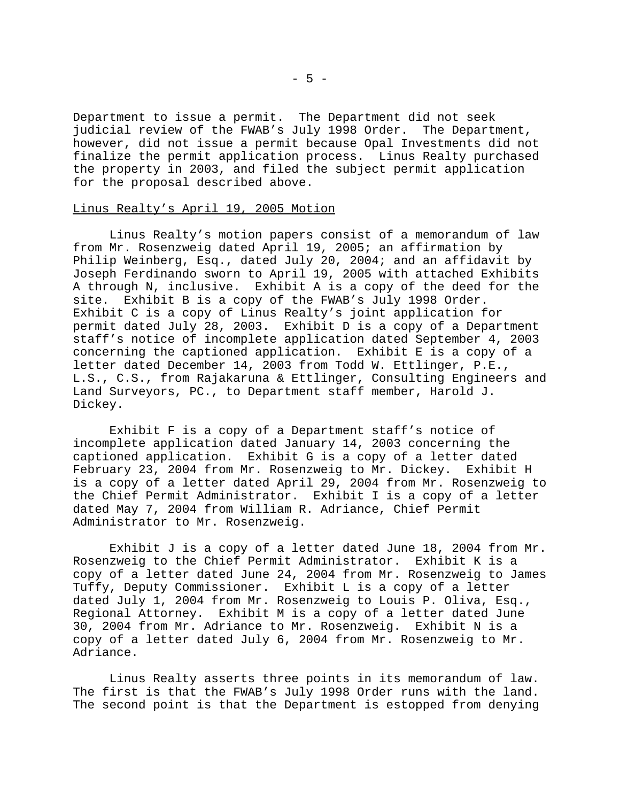Department to issue a permit. The Department did not seek judicial review of the FWAB's July 1998 Order. The Department, however, did not issue a permit because Opal Investments did not finalize the permit application process. Linus Realty purchased the property in 2003, and filed the subject permit application for the proposal described above.

#### Linus Realty's April 19, 2005 Motion

Linus Realty's motion papers consist of a memorandum of law from Mr. Rosenzweig dated April 19, 2005; an affirmation by Philip Weinberg, Esq., dated July 20, 2004; and an affidavit by Joseph Ferdinando sworn to April 19, 2005 with attached Exhibits A through N, inclusive. Exhibit A is a copy of the deed for the<br>site. Exhibit B is a copy of the FWAB's July 1998 Order. Exhibit B is a copy of the FWAB's July 1998 Order. Exhibit C is a copy of Linus Realty's joint application for permit dated July 28, 2003. Exhibit D is a copy of a Department staff's notice of incomplete application dated September 4, 2003 concerning the captioned application. Exhibit E is a copy of a letter dated December 14, 2003 from Todd W. Ettlinger, P.E., L.S., C.S., from Rajakaruna & Ettlinger, Consulting Engineers and Land Surveyors, PC., to Department staff member, Harold J. Dickey.

Exhibit F is a copy of a Department staff's notice of incomplete application dated January 14, 2003 concerning the captioned application. Exhibit G is a copy of a letter dated February 23, 2004 from Mr. Rosenzweig to Mr. Dickey. Exhibit H is a copy of a letter dated April 29, 2004 from Mr. Rosenzweig to the Chief Permit Administrator. Exhibit I is a copy of a letter dated May 7, 2004 from William R. Adriance, Chief Permit Administrator to Mr. Rosenzweig.

Exhibit J is a copy of a letter dated June 18, 2004 from Mr. Rosenzweig to the Chief Permit Administrator. Exhibit K is a copy of a letter dated June 24, 2004 from Mr. Rosenzweig to James Tuffy, Deputy Commissioner. Exhibit L is a copy of a letter dated July 1, 2004 from Mr. Rosenzweig to Louis P. Oliva, Esq., Regional Attorney. Exhibit M is a copy of a letter dated June 30, 2004 from Mr. Adriance to Mr. Rosenzweig. Exhibit N is a copy of a letter dated July 6, 2004 from Mr. Rosenzweig to Mr. Adriance.

Linus Realty asserts three points in its memorandum of law. The first is that the FWAB's July 1998 Order runs with the land. The second point is that the Department is estopped from denying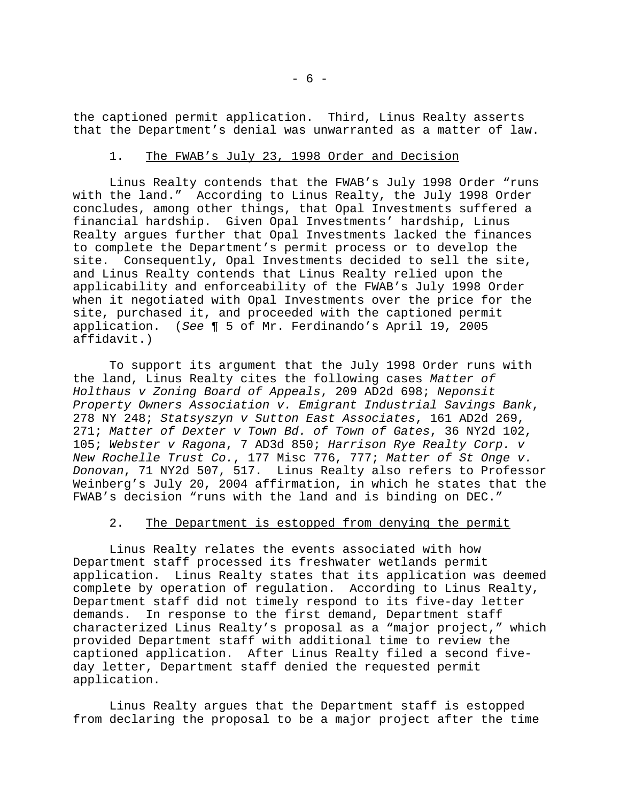the captioned permit application. Third, Linus Realty asserts that the Department's denial was unwarranted as a matter of law.

## 1. The FWAB's July 23, 1998 Order and Decision

Linus Realty contends that the FWAB's July 1998 Order "runs with the land." According to Linus Realty, the July 1998 Order concludes, among other things, that Opal Investments suffered a financial hardship. Given Opal Investments' hardship, Linus Realty argues further that Opal Investments lacked the finances to complete the Department's permit process or to develop the site. Consequently, Opal Investments decided to sell the site, and Linus Realty contends that Linus Realty relied upon the applicability and enforceability of the FWAB's July 1998 Order when it negotiated with Opal Investments over the price for the site, purchased it, and proceeded with the captioned permit application. (*See* ¶ 5 of Mr. Ferdinando's April 19, 2005 affidavit.)

To support its argument that the July 1998 Order runs with the land, Linus Realty cites the following cases *Matter of Holthaus v Zoning Board of Appeals*, 209 AD2d 698; *Neponsit Property Owners Association v. Emigrant Industrial Savings Bank*, 278 NY 248; *Statsyszyn v Sutton East Associates*, 161 AD2d 269, 271; *Matter of Dexter v Town Bd. of Town of Gates*, 36 NY2d 102, 105; *Webster v Ragona*, 7 AD3d 850; *Harrison Rye Realty Corp. v New Rochelle Trust Co.*, 177 Misc 776, 777; *Matter of St Onge v. Donovan*, 71 NY2d 507, 517. Linus Realty also refers to Professor Weinberg's July 20, 2004 affirmation, in which he states that the FWAB's decision "runs with the land and is binding on DEC."

# 2. The Department is estopped from denying the permit

Linus Realty relates the events associated with how Department staff processed its freshwater wetlands permit application. Linus Realty states that its application was deemed complete by operation of regulation. According to Linus Realty, Department staff did not timely respond to its five-day letter demands. In response to the first demand, Department staff characterized Linus Realty's proposal as a "major project," which provided Department staff with additional time to review the captioned application. After Linus Realty filed a second fiveday letter, Department staff denied the requested permit application.

Linus Realty argues that the Department staff is estopped from declaring the proposal to be a major project after the time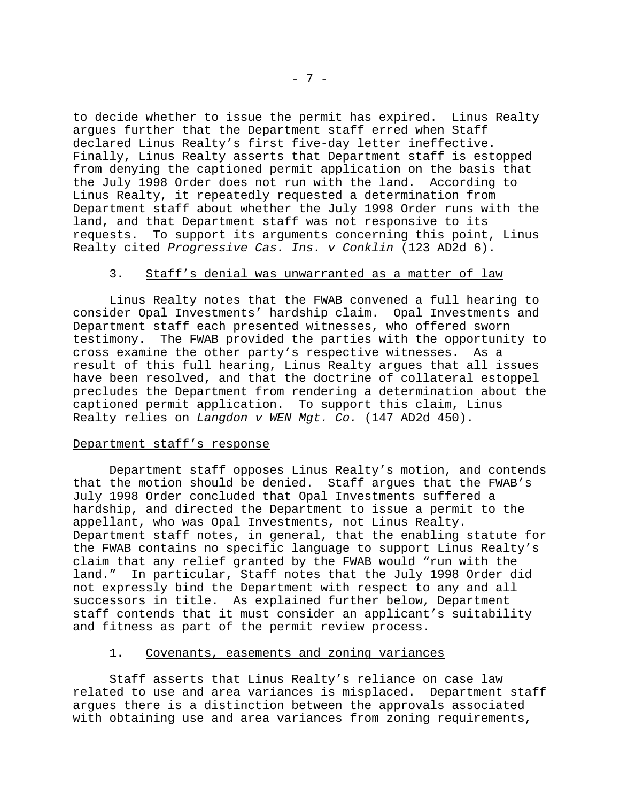to decide whether to issue the permit has expired. Linus Realty argues further that the Department staff erred when Staff declared Linus Realty's first five-day letter ineffective. Finally, Linus Realty asserts that Department staff is estopped from denying the captioned permit application on the basis that the July 1998 Order does not run with the land. According to Linus Realty, it repeatedly requested a determination from Department staff about whether the July 1998 Order runs with the land, and that Department staff was not responsive to its requests. To support its arguments concerning this point, Linus Realty cited *Progressive Cas. Ins. v Conklin* (123 AD2d 6).

### 3. Staff's denial was unwarranted as a matter of law

Linus Realty notes that the FWAB convened a full hearing to consider Opal Investments' hardship claim. Opal Investments and Department staff each presented witnesses, who offered sworn testimony. The FWAB provided the parties with the opportunity to cross examine the other party's respective witnesses. As a result of this full hearing, Linus Realty argues that all issues have been resolved, and that the doctrine of collateral estoppel precludes the Department from rendering a determination about the captioned permit application. To support this claim, Linus Realty relies on *Langdon v WEN Mgt. Co.* (147 AD2d 450).

### Department staff's response

Department staff opposes Linus Realty's motion, and contends that the motion should be denied. Staff argues that the FWAB's July 1998 Order concluded that Opal Investments suffered a hardship, and directed the Department to issue a permit to the appellant, who was Opal Investments, not Linus Realty. Department staff notes, in general, that the enabling statute for the FWAB contains no specific language to support Linus Realty's claim that any relief granted by the FWAB would "run with the land." In particular, Staff notes that the July 1998 Order did not expressly bind the Department with respect to any and all successors in title. As explained further below, Department staff contends that it must consider an applicant's suitability and fitness as part of the permit review process.

### 1. Covenants, easements and zoning variances

Staff asserts that Linus Realty's reliance on case law related to use and area variances is misplaced. Department staff argues there is a distinction between the approvals associated with obtaining use and area variances from zoning requirements,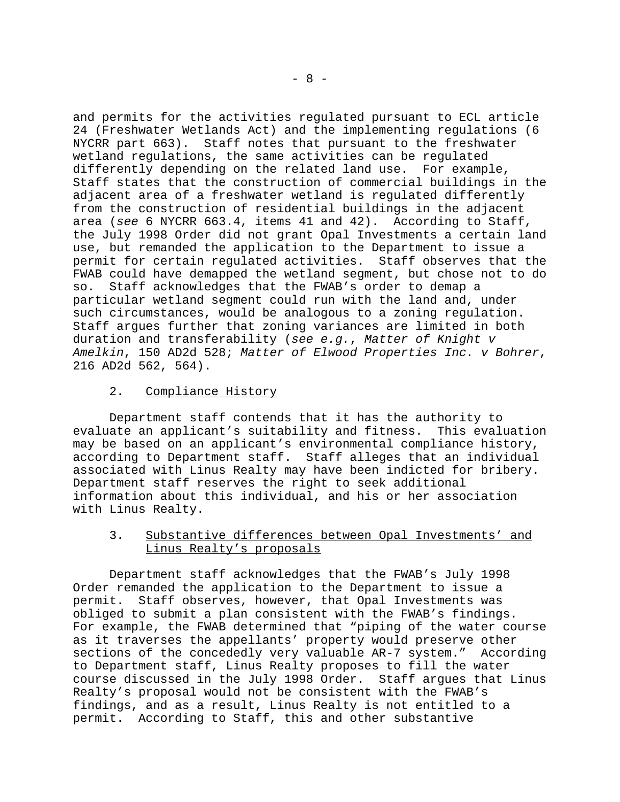and permits for the activities regulated pursuant to ECL article 24 (Freshwater Wetlands Act) and the implementing regulations (6 NYCRR part 663). Staff notes that pursuant to the freshwater wetland regulations, the same activities can be regulated differently depending on the related land use. For example, Staff states that the construction of commercial buildings in the adjacent area of a freshwater wetland is regulated differently from the construction of residential buildings in the adjacent area (*see* 6 NYCRR 663.4, items 41 and 42). According to Staff, the July 1998 Order did not grant Opal Investments a certain land use, but remanded the application to the Department to issue a permit for certain regulated activities. Staff observes that the FWAB could have demapped the wetland segment, but chose not to do so. Staff acknowledges that the FWAB's order to demap a particular wetland segment could run with the land and, under such circumstances, would be analogous to a zoning regulation. Staff argues further that zoning variances are limited in both duration and transferability (*see e.g.*, *Matter of Knight v Amelkin*, 150 AD2d 528; *Matter of Elwood Properties Inc. v Bohrer*, 216 AD2d 562, 564).

# 2. Compliance History

Department staff contends that it has the authority to evaluate an applicant's suitability and fitness. This evaluation may be based on an applicant's environmental compliance history, according to Department staff. Staff alleges that an individual associated with Linus Realty may have been indicted for bribery. Department staff reserves the right to seek additional information about this individual, and his or her association with Linus Realty.

# 3. Substantive differences between Opal Investments' and Linus Realty's proposals

Department staff acknowledges that the FWAB's July 1998 Order remanded the application to the Department to issue a permit. Staff observes, however, that Opal Investments was obliged to submit a plan consistent with the FWAB's findings. For example, the FWAB determined that "piping of the water course as it traverses the appellants' property would preserve other sections of the concededly very valuable AR-7 system." According to Department staff, Linus Realty proposes to fill the water course discussed in the July 1998 Order. Staff argues that Linus Realty's proposal would not be consistent with the FWAB's findings, and as a result, Linus Realty is not entitled to a permit. According to Staff, this and other substantive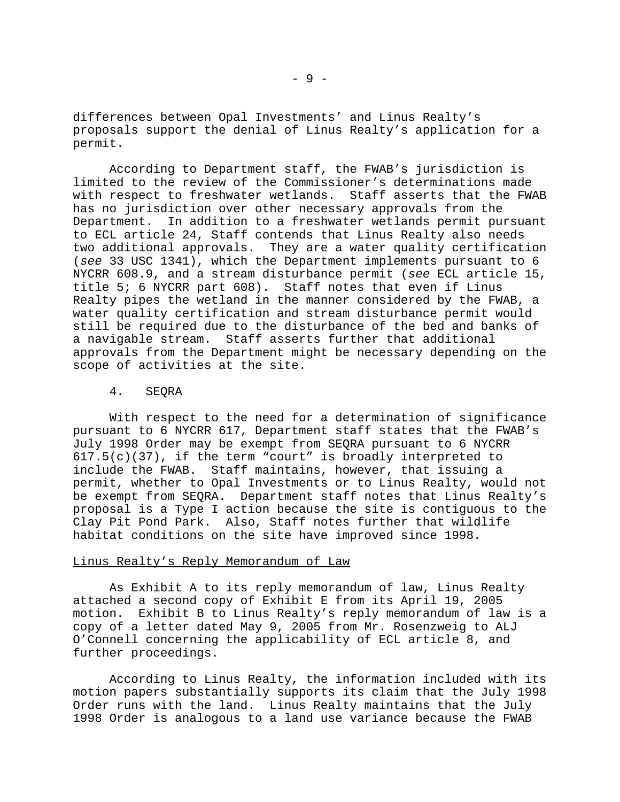differences between Opal Investments' and Linus Realty's proposals support the denial of Linus Realty's application for a permit.

According to Department staff, the FWAB's jurisdiction is limited to the review of the Commissioner's determinations made with respect to freshwater wetlands. Staff asserts that the FWAB has no jurisdiction over other necessary approvals from the Department. In addition to a freshwater wetlands permit pursuant to ECL article 24, Staff contends that Linus Realty also needs two additional approvals. They are a water quality certification (*see* 33 USC 1341), which the Department implements pursuant to 6 NYCRR 608.9, and a stream disturbance permit (*see* ECL article 15, title 5; 6 NYCRR part 608). Staff notes that even if Linus Realty pipes the wetland in the manner considered by the FWAB, a water quality certification and stream disturbance permit would still be required due to the disturbance of the bed and banks of a navigable stream. Staff asserts further that additional approvals from the Department might be necessary depending on the scope of activities at the site.

### 4. SEQRA

With respect to the need for a determination of significance pursuant to 6 NYCRR 617, Department staff states that the FWAB's July 1998 Order may be exempt from SEQRA pursuant to 6 NYCRR 617.5(c)(37), if the term "court" is broadly interpreted to include the FWAB. Staff maintains, however, that issuing a permit, whether to Opal Investments or to Linus Realty, would not be exempt from SEQRA. Department staff notes that Linus Realty's proposal is a Type I action because the site is contiguous to the Clay Pit Pond Park. Also, Staff notes further that wildlife habitat conditions on the site have improved since 1998.

#### Linus Realty's Reply Memorandum of Law

As Exhibit A to its reply memorandum of law, Linus Realty attached a second copy of Exhibit E from its April 19, 2005 motion. Exhibit B to Linus Realty's reply memorandum of law is a copy of a letter dated May 9, 2005 from Mr. Rosenzweig to ALJ O'Connell concerning the applicability of ECL article 8, and further proceedings.

According to Linus Realty, the information included with its motion papers substantially supports its claim that the July 1998 Order runs with the land. Linus Realty maintains that the July 1998 Order is analogous to a land use variance because the FWAB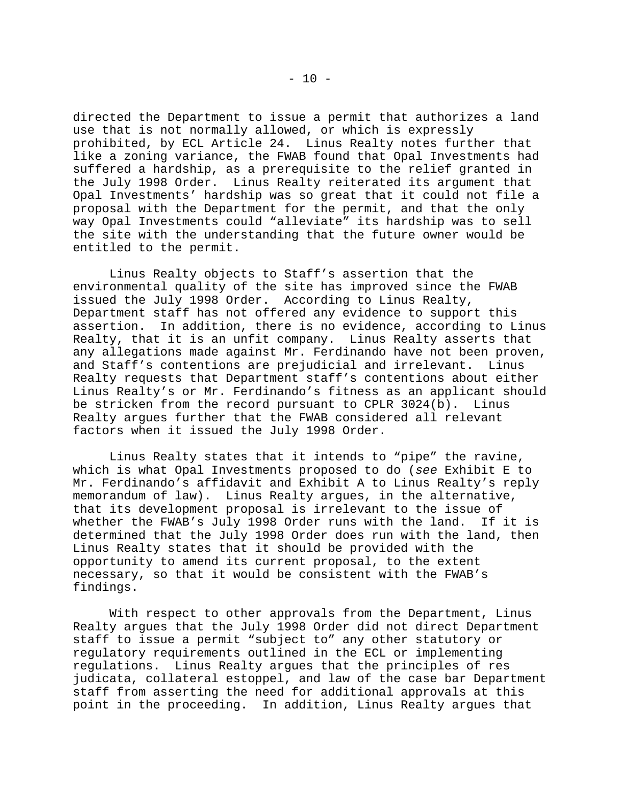directed the Department to issue a permit that authorizes a land use that is not normally allowed, or which is expressly prohibited, by ECL Article 24. Linus Realty notes further that like a zoning variance, the FWAB found that Opal Investments had suffered a hardship, as a prerequisite to the relief granted in the July 1998 Order. Linus Realty reiterated its argument that Opal Investments' hardship was so great that it could not file a proposal with the Department for the permit, and that the only way Opal Investments could "alleviate" its hardship was to sell the site with the understanding that the future owner would be entitled to the permit.

Linus Realty objects to Staff's assertion that the environmental quality of the site has improved since the FWAB issued the July 1998 Order. According to Linus Realty, Department staff has not offered any evidence to support this assertion. In addition, there is no evidence, according to Linus Realty, that it is an unfit company. Linus Realty asserts that any allegations made against Mr. Ferdinando have not been proven, and Staff's contentions are prejudicial and irrelevant. Linus Realty requests that Department staff's contentions about either Linus Realty's or Mr. Ferdinando's fitness as an applicant should be stricken from the record pursuant to CPLR 3024(b). Linus Realty argues further that the FWAB considered all relevant factors when it issued the July 1998 Order.

Linus Realty states that it intends to "pipe" the ravine, which is what Opal Investments proposed to do (*see* Exhibit E to Mr. Ferdinando's affidavit and Exhibit A to Linus Realty's reply memorandum of law). Linus Realty argues, in the alternative, that its development proposal is irrelevant to the issue of whether the FWAB's July 1998 Order runs with the land. If it is determined that the July 1998 Order does run with the land, then Linus Realty states that it should be provided with the opportunity to amend its current proposal, to the extent necessary, so that it would be consistent with the FWAB's findings.

With respect to other approvals from the Department, Linus Realty argues that the July 1998 Order did not direct Department staff to issue a permit "subject to" any other statutory or regulatory requirements outlined in the ECL or implementing regulations. Linus Realty argues that the principles of res judicata, collateral estoppel, and law of the case bar Department staff from asserting the need for additional approvals at this point in the proceeding. In addition, Linus Realty argues that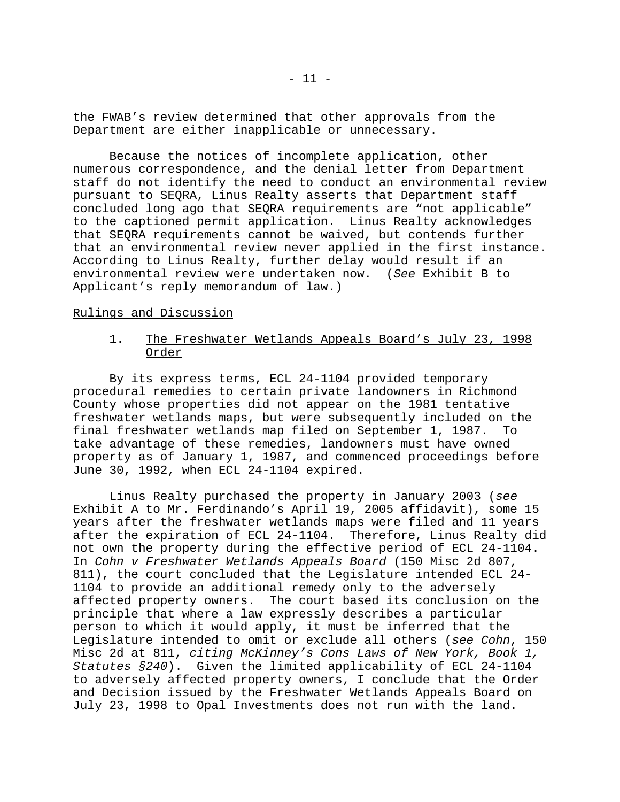the FWAB's review determined that other approvals from the Department are either inapplicable or unnecessary.

Because the notices of incomplete application, other numerous correspondence, and the denial letter from Department staff do not identify the need to conduct an environmental review pursuant to SEQRA, Linus Realty asserts that Department staff concluded long ago that SEQRA requirements are "not applicable" to the captioned permit application. Linus Realty acknowledges that SEQRA requirements cannot be waived, but contends further that an environmental review never applied in the first instance. According to Linus Realty, further delay would result if an environmental review were undertaken now. (*See* Exhibit B to Applicant's reply memorandum of law.)

### Rulings and Discussion

# 1. The Freshwater Wetlands Appeals Board's July 23, 1998 Order

By its express terms, ECL 24-1104 provided temporary procedural remedies to certain private landowners in Richmond County whose properties did not appear on the 1981 tentative freshwater wetlands maps, but were subsequently included on the final freshwater wetlands map filed on September 1, 1987. To take advantage of these remedies, landowners must have owned property as of January 1, 1987, and commenced proceedings before June 30, 1992, when ECL 24-1104 expired.

Linus Realty purchased the property in January 2003 (*see* Exhibit A to Mr. Ferdinando's April 19, 2005 affidavit), some 15 years after the freshwater wetlands maps were filed and 11 years after the expiration of ECL 24-1104. Therefore, Linus Realty did not own the property during the effective period of ECL 24-1104. In *Cohn v Freshwater Wetlands Appeals Board* (150 Misc 2d 807, 811), the court concluded that the Legislature intended ECL 24- 1104 to provide an additional remedy only to the adversely affected property owners. The court based its conclusion on the principle that where a law expressly describes a particular person to which it would apply, it must be inferred that the Legislature intended to omit or exclude all others (*see Cohn*, 150 Misc 2d at 811, *citing McKinney's Cons Laws of New York, Book 1, Statutes §240*). Given the limited applicability of ECL 24-1104 to adversely affected property owners, I conclude that the Order and Decision issued by the Freshwater Wetlands Appeals Board on July 23, 1998 to Opal Investments does not run with the land.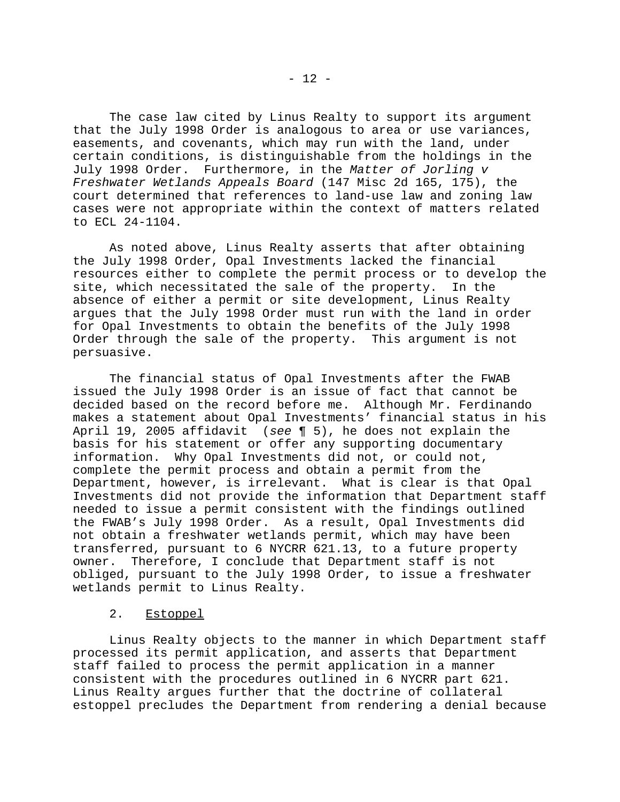The case law cited by Linus Realty to support its argument that the July 1998 Order is analogous to area or use variances, easements, and covenants, which may run with the land, under certain conditions, is distinguishable from the holdings in the July 1998 Order. Furthermore, in the *Matter of Jorling v Freshwater Wetlands Appeals Board* (147 Misc 2d 165, 175), the court determined that references to land-use law and zoning law cases were not appropriate within the context of matters related to ECL 24-1104.

As noted above, Linus Realty asserts that after obtaining the July 1998 Order, Opal Investments lacked the financial resources either to complete the permit process or to develop the site, which necessitated the sale of the property. In the absence of either a permit or site development, Linus Realty argues that the July 1998 Order must run with the land in order for Opal Investments to obtain the benefits of the July 1998 Order through the sale of the property. This argument is not persuasive.

The financial status of Opal Investments after the FWAB issued the July 1998 Order is an issue of fact that cannot be decided based on the record before me. Although Mr. Ferdinando makes a statement about Opal Investments' financial status in his April 19, 2005 affidavit (*see* ¶ 5), he does not explain the basis for his statement or offer any supporting documentary information. Why Opal Investments did not, or could not, complete the permit process and obtain a permit from the Department, however, is irrelevant. What is clear is that Opal Investments did not provide the information that Department staff needed to issue a permit consistent with the findings outlined the FWAB's July 1998 Order. As a result, Opal Investments did not obtain a freshwater wetlands permit, which may have been transferred, pursuant to 6 NYCRR 621.13, to a future property owner. Therefore, I conclude that Department staff is not obliged, pursuant to the July 1998 Order, to issue a freshwater wetlands permit to Linus Realty.

## 2. Estoppel

Linus Realty objects to the manner in which Department staff processed its permit application, and asserts that Department staff failed to process the permit application in a manner consistent with the procedures outlined in 6 NYCRR part 621. Linus Realty argues further that the doctrine of collateral estoppel precludes the Department from rendering a denial because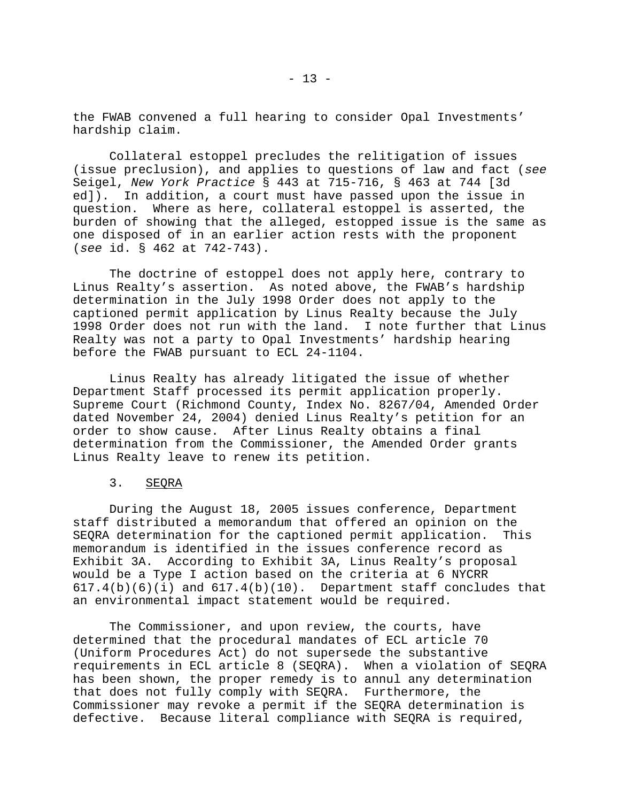the FWAB convened a full hearing to consider Opal Investments' hardship claim.

Collateral estoppel precludes the relitigation of issues (issue preclusion), and applies to questions of law and fact (*see* Seigel, *New York Practice* § 443 at 715-716, § 463 at 744 [3d ed]). In addition, a court must have passed upon the issue in question. Where as here, collateral estoppel is asserted, the burden of showing that the alleged, estopped issue is the same as one disposed of in an earlier action rests with the proponent (*see* id. § 462 at 742-743).

The doctrine of estoppel does not apply here, contrary to Linus Realty's assertion. As noted above, the FWAB's hardship determination in the July 1998 Order does not apply to the captioned permit application by Linus Realty because the July 1998 Order does not run with the land. I note further that Linus Realty was not a party to Opal Investments' hardship hearing before the FWAB pursuant to ECL 24-1104.

Linus Realty has already litigated the issue of whether Department Staff processed its permit application properly. Supreme Court (Richmond County, Index No. 8267/04, Amended Order dated November 24, 2004) denied Linus Realty's petition for an order to show cause. After Linus Realty obtains a final determination from the Commissioner, the Amended Order grants Linus Realty leave to renew its petition.

### 3. SEQRA

During the August 18, 2005 issues conference, Department staff distributed a memorandum that offered an opinion on the SEQRA determination for the captioned permit application. This memorandum is identified in the issues conference record as Exhibit 3A. According to Exhibit 3A, Linus Realty's proposal would be a Type I action based on the criteria at 6 NYCRR  $617.4(b)(6)(i)$  and  $617.4(b)(10)$ . Department staff concludes that an environmental impact statement would be required.

The Commissioner, and upon review, the courts, have determined that the procedural mandates of ECL article 70 (Uniform Procedures Act) do not supersede the substantive requirements in ECL article 8 (SEQRA). When a violation of SEQRA has been shown, the proper remedy is to annul any determination that does not fully comply with SEQRA. Furthermore, the Commissioner may revoke a permit if the SEQRA determination is defective. Because literal compliance with SEQRA is required,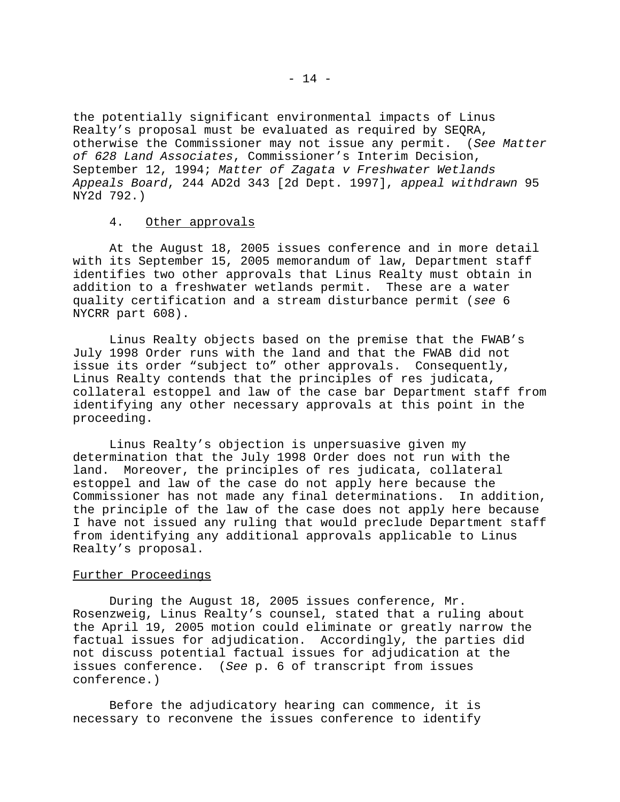the potentially significant environmental impacts of Linus Realty's proposal must be evaluated as required by SEQRA, otherwise the Commissioner may not issue any permit. (*See Matter of 628 Land Associates*, Commissioner's Interim Decision, September 12, 1994; *Matter of Zagata v Freshwater Wetlands Appeals Board*, 244 AD2d 343 [2d Dept. 1997], *appeal withdrawn* 95 NY2d 792.)

### 4. Other approvals

At the August 18, 2005 issues conference and in more detail with its September 15, 2005 memorandum of law, Department staff identifies two other approvals that Linus Realty must obtain in addition to a freshwater wetlands permit. These are a water quality certification and a stream disturbance permit (*see* 6 NYCRR part 608).

Linus Realty objects based on the premise that the FWAB's July 1998 Order runs with the land and that the FWAB did not issue its order "subject to" other approvals. Consequently, Linus Realty contends that the principles of res judicata, collateral estoppel and law of the case bar Department staff from identifying any other necessary approvals at this point in the proceeding.

Linus Realty's objection is unpersuasive given my determination that the July 1998 Order does not run with the land. Moreover, the principles of res judicata, collateral estoppel and law of the case do not apply here because the Commissioner has not made any final determinations. In addition, the principle of the law of the case does not apply here because I have not issued any ruling that would preclude Department staff from identifying any additional approvals applicable to Linus Realty's proposal.

### Further Proceedings

During the August 18, 2005 issues conference, Mr. Rosenzweig, Linus Realty's counsel, stated that a ruling about the April 19, 2005 motion could eliminate or greatly narrow the factual issues for adjudication. Accordingly, the parties did not discuss potential factual issues for adjudication at the issues conference. (*See* p. 6 of transcript from issues conference.)

Before the adjudicatory hearing can commence, it is necessary to reconvene the issues conference to identify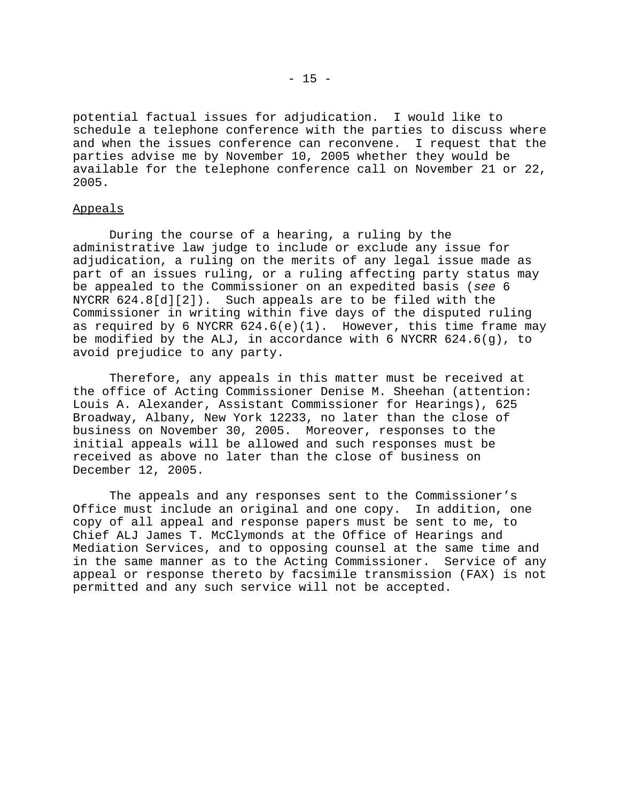potential factual issues for adjudication. I would like to schedule a telephone conference with the parties to discuss where and when the issues conference can reconvene. I request that the parties advise me by November 10, 2005 whether they would be available for the telephone conference call on November 21 or 22, 2005.

#### Appeals

During the course of a hearing, a ruling by the administrative law judge to include or exclude any issue for adjudication, a ruling on the merits of any legal issue made as part of an issues ruling, or a ruling affecting party status may be appealed to the Commissioner on an expedited basis (*see* 6 NYCRR 624.8[d][2]). Such appeals are to be filed with the Commissioner in writing within five days of the disputed ruling as required by 6 NYCRR  $624.6(e)(1)$ . However, this time frame may be modified by the ALJ, in accordance with 6 NYCRR  $624.6(g)$ , to avoid prejudice to any party.

Therefore, any appeals in this matter must be received at the office of Acting Commissioner Denise M. Sheehan (attention: Louis A. Alexander, Assistant Commissioner for Hearings), 625 Broadway, Albany, New York 12233, no later than the close of business on November 30, 2005. Moreover, responses to the initial appeals will be allowed and such responses must be received as above no later than the close of business on December 12, 2005.

The appeals and any responses sent to the Commissioner's Office must include an original and one copy. In addition, one copy of all appeal and response papers must be sent to me, to Chief ALJ James T. McClymonds at the Office of Hearings and Mediation Services, and to opposing counsel at the same time and in the same manner as to the Acting Commissioner. Service of any appeal or response thereto by facsimile transmission (FAX) is not permitted and any such service will not be accepted.